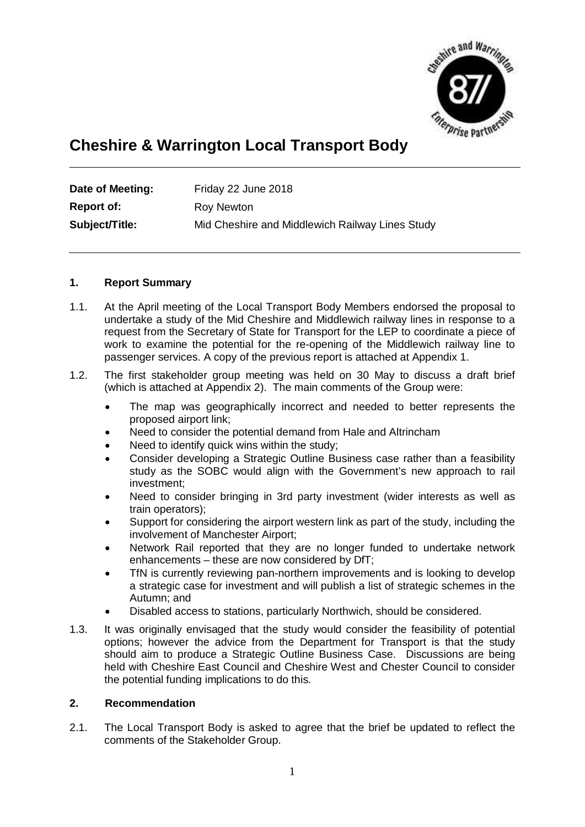

# **Cheshire & Warrington Local Transport Body**

| Date of Meeting: | Friday 22 June 2018                             |
|------------------|-------------------------------------------------|
| Report of:       | Roy Newton                                      |
| Subject/Title:   | Mid Cheshire and Middlewich Railway Lines Study |

# **1. Report Summary**

- 1.1. At the April meeting of the Local Transport Body Members endorsed the proposal to undertake a study of the Mid Cheshire and Middlewich railway lines in response to a request from the Secretary of State for Transport for the LEP to coordinate a piece of work to examine the potential for the re-opening of the Middlewich railway line to passenger services. A copy of the previous report is attached at Appendix 1.
- 1.2. The first stakeholder group meeting was held on 30 May to discuss a draft brief (which is attached at Appendix 2). The main comments of the Group were:
	- · The map was geographically incorrect and needed to better represents the proposed airport link;
	- Need to consider the potential demand from Hale and Altrincham
	- Need to identify quick wins within the study;
	- · Consider developing a Strategic Outline Business case rather than a feasibility study as the SOBC would align with the Government's new approach to rail investment;
	- · Need to consider bringing in 3rd party investment (wider interests as well as train operators);
	- Support for considering the airport western link as part of the study, including the involvement of Manchester Airport;
	- Network Rail reported that they are no longer funded to undertake network enhancements – these are now considered by DfT;
	- TfN is currently reviewing pan-northern improvements and is looking to develop a strategic case for investment and will publish a list of strategic schemes in the Autumn; and
	- Disabled access to stations, particularly Northwich, should be considered.
- 1.3. It was originally envisaged that the study would consider the feasibility of potential options; however the advice from the Department for Transport is that the study should aim to produce a Strategic Outline Business Case. Discussions are being held with Cheshire East Council and Cheshire West and Chester Council to consider the potential funding implications to do this.

#### **2. Recommendation**

2.1. The Local Transport Body is asked to agree that the brief be updated to reflect the comments of the Stakeholder Group.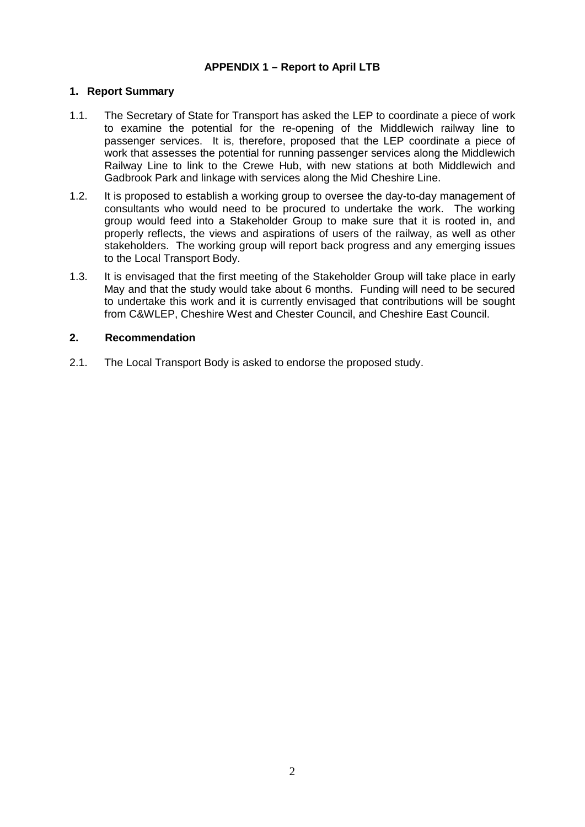# **APPENDIX 1 – Report to April LTB**

## **1. Report Summary**

- 1.1. The Secretary of State for Transport has asked the LEP to coordinate a piece of work to examine the potential for the re-opening of the Middlewich railway line to passenger services. It is, therefore, proposed that the LEP coordinate a piece of work that assesses the potential for running passenger services along the Middlewich Railway Line to link to the Crewe Hub, with new stations at both Middlewich and Gadbrook Park and linkage with services along the Mid Cheshire Line.
- 1.2. It is proposed to establish a working group to oversee the day-to-day management of consultants who would need to be procured to undertake the work. The working group would feed into a Stakeholder Group to make sure that it is rooted in, and properly reflects, the views and aspirations of users of the railway, as well as other stakeholders. The working group will report back progress and any emerging issues to the Local Transport Body.
- 1.3. It is envisaged that the first meeting of the Stakeholder Group will take place in early May and that the study would take about 6 months. Funding will need to be secured to undertake this work and it is currently envisaged that contributions will be sought from C&WLEP, Cheshire West and Chester Council, and Cheshire East Council.

#### **2. Recommendation**

2.1. The Local Transport Body is asked to endorse the proposed study.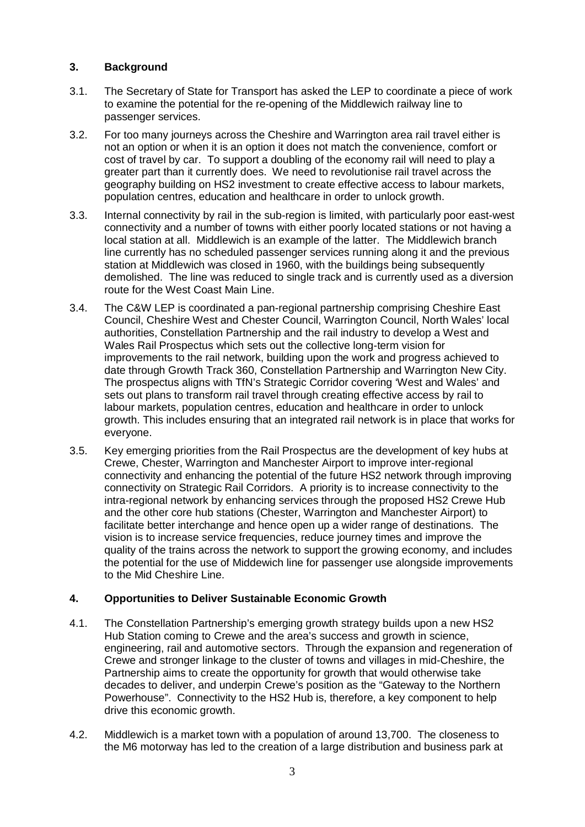# **3. Background**

- 3.1. The Secretary of State for Transport has asked the LEP to coordinate a piece of work to examine the potential for the re-opening of the Middlewich railway line to passenger services.
- 3.2. For too many journeys across the Cheshire and Warrington area rail travel either is not an option or when it is an option it does not match the convenience, comfort or cost of travel by car. To support a doubling of the economy rail will need to play a greater part than it currently does. We need to revolutionise rail travel across the geography building on HS2 investment to create effective access to labour markets, population centres, education and healthcare in order to unlock growth.
- 3.3. Internal connectivity by rail in the sub-region is limited, with particularly poor east-west connectivity and a number of towns with either poorly located stations or not having a local station at all. Middlewich is an example of the latter. The Middlewich branch line currently has no scheduled passenger services running along it and the previous station at Middlewich was closed in 1960, with the buildings being subsequently demolished. The line was reduced to single track and is currently used as a diversion route for the West Coast Main Line.
- 3.4. The C&W LEP is coordinated a pan-regional partnership comprising Cheshire East Council, Cheshire West and Chester Council, Warrington Council, North Wales' local authorities, Constellation Partnership and the rail industry to develop a West and Wales Rail Prospectus which sets out the collective long-term vision for improvements to the rail network, building upon the work and progress achieved to date through Growth Track 360, Constellation Partnership and Warrington New City. The prospectus aligns with TfN's Strategic Corridor covering 'West and Wales' and sets out plans to transform rail travel through creating effective access by rail to labour markets, population centres, education and healthcare in order to unlock growth. This includes ensuring that an integrated rail network is in place that works for everyone.
- 3.5. Key emerging priorities from the Rail Prospectus are the development of key hubs at Crewe, Chester, Warrington and Manchester Airport to improve inter-regional connectivity and enhancing the potential of the future HS2 network through improving connectivity on Strategic Rail Corridors. A priority is to increase connectivity to the intra-regional network by enhancing services through the proposed HS2 Crewe Hub and the other core hub stations (Chester, Warrington and Manchester Airport) to facilitate better interchange and hence open up a wider range of destinations. The vision is to increase service frequencies, reduce journey times and improve the quality of the trains across the network to support the growing economy, and includes the potential for the use of Middewich line for passenger use alongside improvements to the Mid Cheshire Line.

# **4. Opportunities to Deliver Sustainable Economic Growth**

- 4.1. The Constellation Partnership's emerging growth strategy builds upon a new HS2 Hub Station coming to Crewe and the area's success and growth in science, engineering, rail and automotive sectors. Through the expansion and regeneration of Crewe and stronger linkage to the cluster of towns and villages in mid-Cheshire, the Partnership aims to create the opportunity for growth that would otherwise take decades to deliver, and underpin Crewe's position as the "Gateway to the Northern Powerhouse". Connectivity to the HS2 Hub is, therefore, a key component to help drive this economic growth.
- 4.2. Middlewich is a market town with a population of around 13,700. The closeness to the M6 motorway has led to the creation of a large distribution and business park at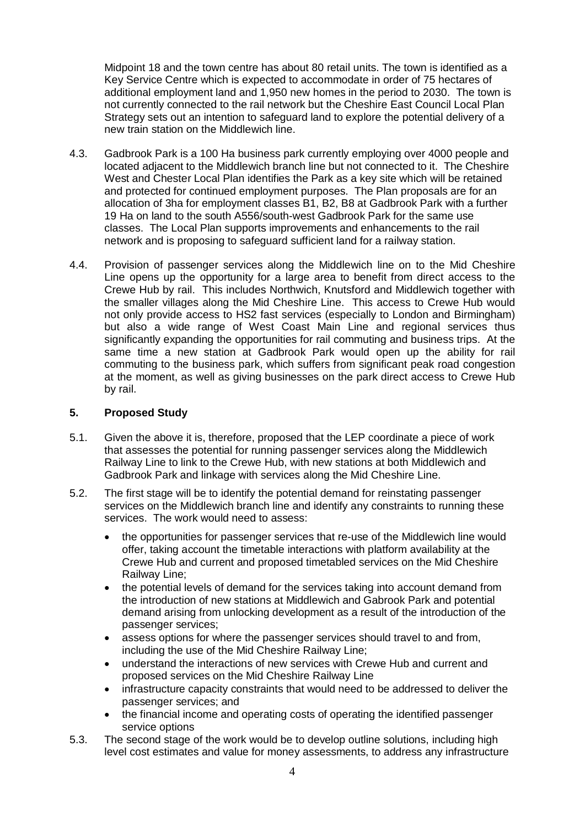Midpoint 18 and the town centre has about 80 retail units. The town is identified as a Key Service Centre which is expected to accommodate in order of 75 hectares of additional employment land and 1,950 new homes in the period to 2030. The town is not currently connected to the rail network but the Cheshire East Council Local Plan Strategy sets out an intention to safeguard land to explore the potential delivery of a new train station on the Middlewich line.

- 4.3. Gadbrook Park is a 100 Ha business park currently employing over 4000 people and located adjacent to the Middlewich branch line but not connected to it. The Cheshire West and Chester Local Plan identifies the Park as a key site which will be retained and protected for continued employment purposes. The Plan proposals are for an allocation of 3ha for employment classes B1, B2, B8 at Gadbrook Park with a further 19 Ha on land to the south A556/south-west Gadbrook Park for the same use classes. The Local Plan supports improvements and enhancements to the rail network and is proposing to safeguard sufficient land for a railway station.
- 4.4. Provision of passenger services along the Middlewich line on to the Mid Cheshire Line opens up the opportunity for a large area to benefit from direct access to the Crewe Hub by rail. This includes Northwich, Knutsford and Middlewich together with the smaller villages along the Mid Cheshire Line. This access to Crewe Hub would not only provide access to HS2 fast services (especially to London and Birmingham) but also a wide range of West Coast Main Line and regional services thus significantly expanding the opportunities for rail commuting and business trips. At the same time a new station at Gadbrook Park would open up the ability for rail commuting to the business park, which suffers from significant peak road congestion at the moment, as well as giving businesses on the park direct access to Crewe Hub by rail.

# **5. Proposed Study**

- 5.1. Given the above it is, therefore, proposed that the LEP coordinate a piece of work that assesses the potential for running passenger services along the Middlewich Railway Line to link to the Crewe Hub, with new stations at both Middlewich and Gadbrook Park and linkage with services along the Mid Cheshire Line.
- 5.2. The first stage will be to identify the potential demand for reinstating passenger services on the Middlewich branch line and identify any constraints to running these services. The work would need to assess:
	- · the opportunities for passenger services that re-use of the Middlewich line would offer, taking account the timetable interactions with platform availability at the Crewe Hub and current and proposed timetabled services on the Mid Cheshire Railway Line;
	- · the potential levels of demand for the services taking into account demand from the introduction of new stations at Middlewich and Gabrook Park and potential demand arising from unlocking development as a result of the introduction of the passenger services;
	- · assess options for where the passenger services should travel to and from, including the use of the Mid Cheshire Railway Line;
	- · understand the interactions of new services with Crewe Hub and current and proposed services on the Mid Cheshire Railway Line
	- · infrastructure capacity constraints that would need to be addressed to deliver the passenger services; and
	- the financial income and operating costs of operating the identified passenger service options
- 5.3. The second stage of the work would be to develop outline solutions, including high level cost estimates and value for money assessments, to address any infrastructure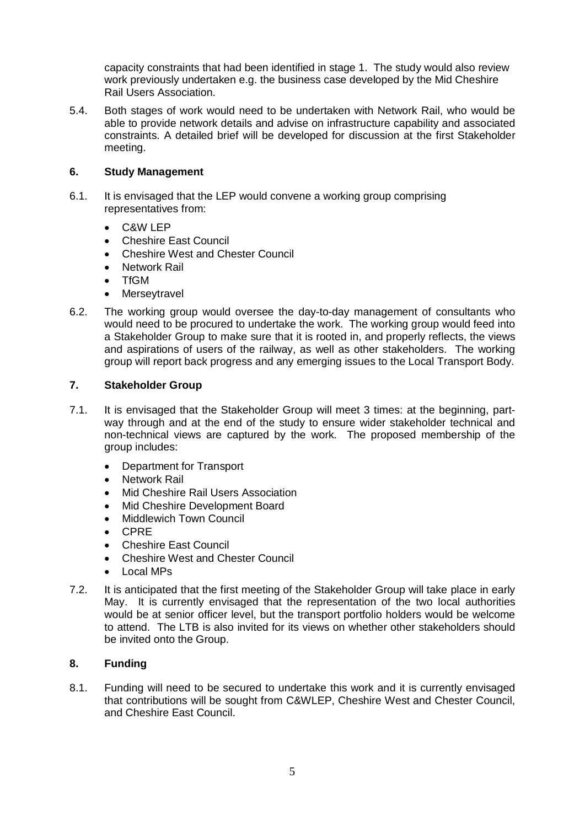capacity constraints that had been identified in stage 1. The study would also review work previously undertaken e.g. the business case developed by the Mid Cheshire Rail Users Association.

5.4. Both stages of work would need to be undertaken with Network Rail, who would be able to provide network details and advise on infrastructure capability and associated constraints. A detailed brief will be developed for discussion at the first Stakeholder meeting.

# **6. Study Management**

- 6.1. It is envisaged that the LEP would convene a working group comprising representatives from:
	- · C&W LEP
	- · Cheshire East Council
	- · Cheshire West and Chester Council
	- **Network Rail**
	- · TfGM
	- · Merseytravel
- 6.2. The working group would oversee the day-to-day management of consultants who would need to be procured to undertake the work. The working group would feed into a Stakeholder Group to make sure that it is rooted in, and properly reflects, the views and aspirations of users of the railway, as well as other stakeholders. The working group will report back progress and any emerging issues to the Local Transport Body.

# **7. Stakeholder Group**

- 7.1. It is envisaged that the Stakeholder Group will meet 3 times: at the beginning, partway through and at the end of the study to ensure wider stakeholder technical and non-technical views are captured by the work. The proposed membership of the group includes:
	- · Department for Transport
	- · Network Rail
	- · Mid Cheshire Rail Users Association
	- · Mid Cheshire Development Board
	- Middlewich Town Council
	- · CPRE
	- · Cheshire East Council
	- · Cheshire West and Chester Council
	- · Local MPs
- 7.2. It is anticipated that the first meeting of the Stakeholder Group will take place in early May. It is currently envisaged that the representation of the two local authorities would be at senior officer level, but the transport portfolio holders would be welcome to attend. The LTB is also invited for its views on whether other stakeholders should be invited onto the Group.

# **8. Funding**

8.1. Funding will need to be secured to undertake this work and it is currently envisaged that contributions will be sought from C&WLEP, Cheshire West and Chester Council, and Cheshire East Council.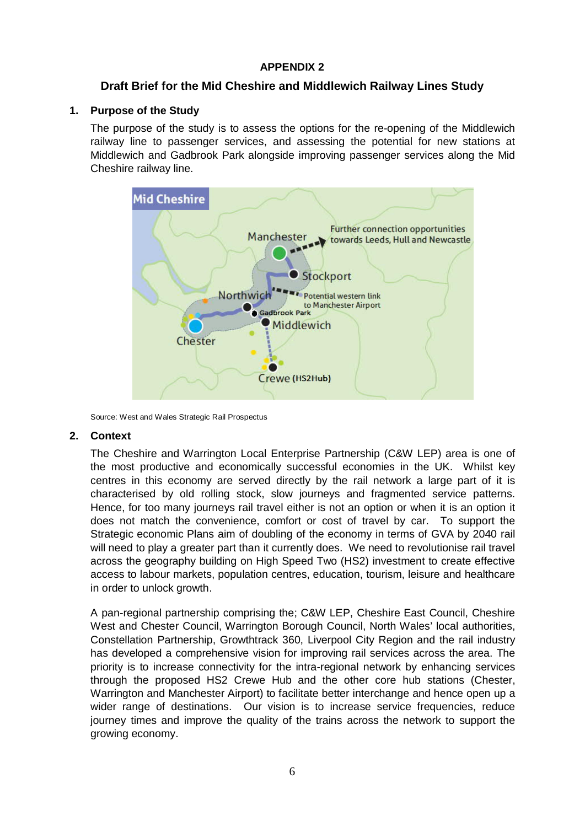# **APPENDIX 2**

# **Draft Brief for the Mid Cheshire and Middlewich Railway Lines Study**

# **1. Purpose of the Study**

The purpose of the study is to assess the options for the re-opening of the Middlewich railway line to passenger services, and assessing the potential for new stations at Middlewich and Gadbrook Park alongside improving passenger services along the Mid Cheshire railway line.



Source: West and Wales Strategic Rail Prospectus

# **2. Context**

The Cheshire and Warrington Local Enterprise Partnership (C&W LEP) area is one of the most productive and economically successful economies in the UK. Whilst key centres in this economy are served directly by the rail network a large part of it is characterised by old rolling stock, slow journeys and fragmented service patterns. Hence, for too many journeys rail travel either is not an option or when it is an option it does not match the convenience, comfort or cost of travel by car. To support the Strategic economic Plans aim of doubling of the economy in terms of GVA by 2040 rail will need to play a greater part than it currently does. We need to revolutionise rail travel across the geography building on High Speed Two (HS2) investment to create effective access to labour markets, population centres, education, tourism, leisure and healthcare in order to unlock growth.

A pan-regional partnership comprising the; C&W LEP, Cheshire East Council, Cheshire West and Chester Council, Warrington Borough Council, North Wales' local authorities, Constellation Partnership, Growthtrack 360, Liverpool City Region and the rail industry has developed a comprehensive vision for improving rail services across the area. The priority is to increase connectivity for the intra-regional network by enhancing services through the proposed HS2 Crewe Hub and the other core hub stations (Chester, Warrington and Manchester Airport) to facilitate better interchange and hence open up a wider range of destinations. Our vision is to increase service frequencies, reduce journey times and improve the quality of the trains across the network to support the growing economy.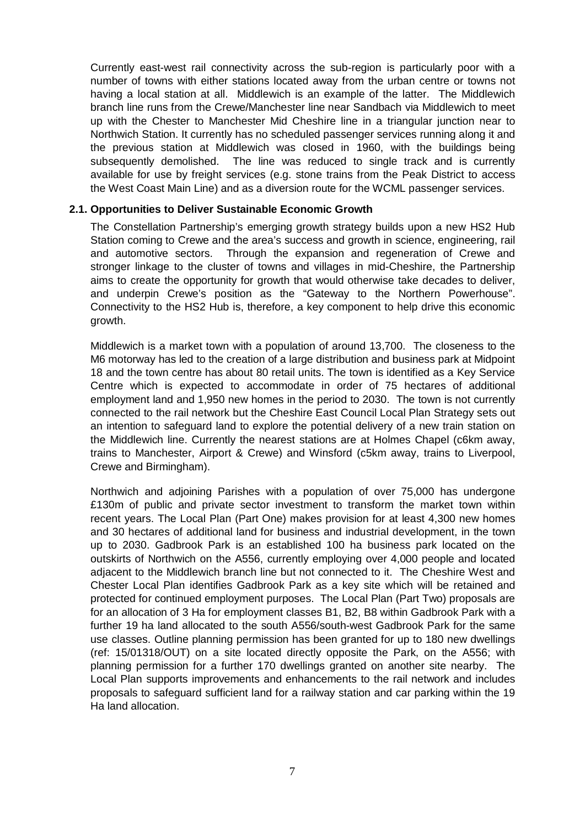Currently east-west rail connectivity across the sub-region is particularly poor with a number of towns with either stations located away from the urban centre or towns not having a local station at all. Middlewich is an example of the latter. The Middlewich branch line runs from the Crewe/Manchester line near Sandbach via Middlewich to meet up with the Chester to Manchester Mid Cheshire line in a triangular junction near to Northwich Station. It currently has no scheduled passenger services running along it and the previous station at Middlewich was closed in 1960, with the buildings being subsequently demolished. The line was reduced to single track and is currently available for use by freight services (e.g. stone trains from the Peak District to access the West Coast Main Line) and as a diversion route for the WCML passenger services.

#### **2.1. Opportunities to Deliver Sustainable Economic Growth**

The Constellation Partnership's emerging growth strategy builds upon a new HS2 Hub Station coming to Crewe and the area's success and growth in science, engineering, rail and automotive sectors. Through the expansion and regeneration of Crewe and stronger linkage to the cluster of towns and villages in mid-Cheshire, the Partnership aims to create the opportunity for growth that would otherwise take decades to deliver, and underpin Crewe's position as the "Gateway to the Northern Powerhouse". Connectivity to the HS2 Hub is, therefore, a key component to help drive this economic growth.

Middlewich is a market town with a population of around 13,700. The closeness to the M6 motorway has led to the creation of a large distribution and business park at Midpoint 18 and the town centre has about 80 retail units. The town is identified as a Key Service Centre which is expected to accommodate in order of 75 hectares of additional employment land and 1,950 new homes in the period to 2030. The town is not currently connected to the rail network but the Cheshire East Council Local Plan Strategy sets out an intention to safeguard land to explore the potential delivery of a new train station on the Middlewich line. Currently the nearest stations are at Holmes Chapel (c6km away, trains to Manchester, Airport & Crewe) and Winsford (c5km away, trains to Liverpool, Crewe and Birmingham).

Northwich and adjoining Parishes with a population of over 75,000 has undergone £130m of public and private sector investment to transform the market town within recent years. The Local Plan (Part One) makes provision for at least 4,300 new homes and 30 hectares of additional land for business and industrial development, in the town up to 2030. Gadbrook Park is an established 100 ha business park located on the outskirts of Northwich on the A556, currently employing over 4,000 people and located adjacent to the Middlewich branch line but not connected to it. The Cheshire West and Chester Local Plan identifies Gadbrook Park as a key site which will be retained and protected for continued employment purposes. The Local Plan (Part Two) proposals are for an allocation of 3 Ha for employment classes B1, B2, B8 within Gadbrook Park with a further 19 ha land allocated to the south A556/south-west Gadbrook Park for the same use classes. Outline planning permission has been granted for up to 180 new dwellings (ref: 15/01318/OUT) on a site located directly opposite the Park, on the A556; with planning permission for a further 170 dwellings granted on another site nearby. The Local Plan supports improvements and enhancements to the rail network and includes proposals to safeguard sufficient land for a railway station and car parking within the 19 Ha land allocation.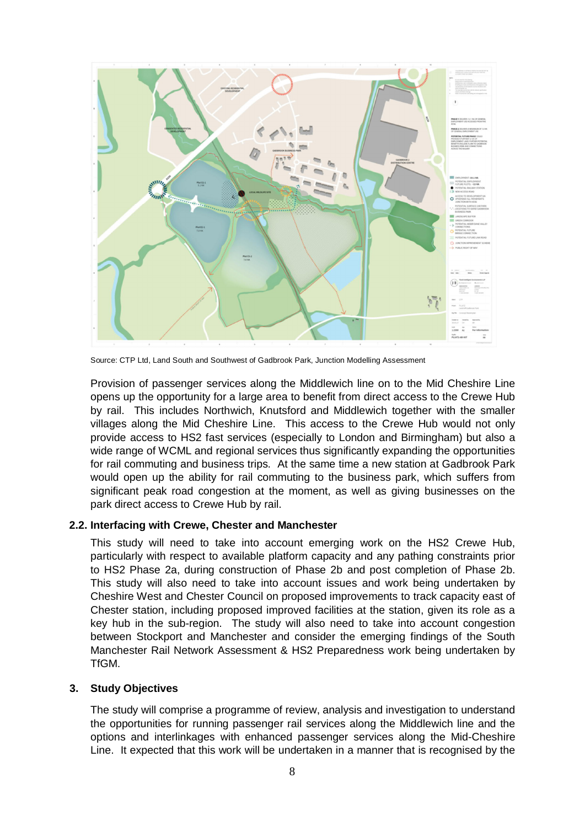

Source: CTP Ltd, Land South and Southwest of Gadbrook Park, Junction Modelling Assessment

Provision of passenger services along the Middlewich line on to the Mid Cheshire Line opens up the opportunity for a large area to benefit from direct access to the Crewe Hub by rail. This includes Northwich, Knutsford and Middlewich together with the smaller villages along the Mid Cheshire Line. This access to the Crewe Hub would not only provide access to HS2 fast services (especially to London and Birmingham) but also a wide range of WCML and regional services thus significantly expanding the opportunities for rail commuting and business trips. At the same time a new station at Gadbrook Park would open up the ability for rail commuting to the business park, which suffers from significant peak road congestion at the moment, as well as giving businesses on the park direct access to Crewe Hub by rail.

#### **2.2. Interfacing with Crewe, Chester and Manchester**

This study will need to take into account emerging work on the HS2 Crewe Hub, particularly with respect to available platform capacity and any pathing constraints prior to HS2 Phase 2a, during construction of Phase 2b and post completion of Phase 2b. This study will also need to take into account issues and work being undertaken by Cheshire West and Chester Council on proposed improvements to track capacity east of Chester station, including proposed improved facilities at the station, given its role as a key hub in the sub-region. The study will also need to take into account congestion between Stockport and Manchester and consider the emerging findings of the South Manchester Rail Network Assessment & HS2 Preparedness work being undertaken by TfGM.

#### **3. Study Objectives**

The study will comprise a programme of review, analysis and investigation to understand the opportunities for running passenger rail services along the Middlewich line and the options and interlinkages with enhanced passenger services along the Mid-Cheshire Line. It expected that this work will be undertaken in a manner that is recognised by the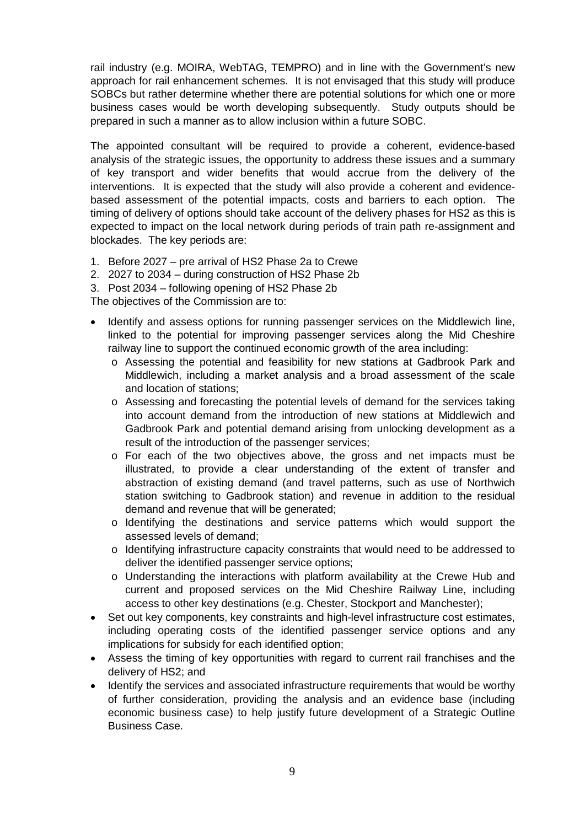rail industry (e.g. MOIRA, WebTAG, TEMPRO) and in line with the Government's new approach for rail enhancement schemes. It is not envisaged that this study will produce SOBCs but rather determine whether there are potential solutions for which one or more business cases would be worth developing subsequently. Study outputs should be prepared in such a manner as to allow inclusion within a future SOBC.

The appointed consultant will be required to provide a coherent, evidence-based analysis of the strategic issues, the opportunity to address these issues and a summary of key transport and wider benefits that would accrue from the delivery of the interventions. It is expected that the study will also provide a coherent and evidencebased assessment of the potential impacts, costs and barriers to each option. The timing of delivery of options should take account of the delivery phases for HS2 as this is expected to impact on the local network during periods of train path re-assignment and blockades. The key periods are:

- 1. Before 2027 pre arrival of HS2 Phase 2a to Crewe
- 2. 2027 to 2034 during construction of HS2 Phase 2b
- 3. Post 2034 following opening of HS2 Phase 2b

The objectives of the Commission are to:

- · Identify and assess options for running passenger services on the Middlewich line, linked to the potential for improving passenger services along the Mid Cheshire railway line to support the continued economic growth of the area including:
	- o Assessing the potential and feasibility for new stations at Gadbrook Park and Middlewich, including a market analysis and a broad assessment of the scale and location of stations;
	- o Assessing and forecasting the potential levels of demand for the services taking into account demand from the introduction of new stations at Middlewich and Gadbrook Park and potential demand arising from unlocking development as a result of the introduction of the passenger services;
	- o For each of the two objectives above, the gross and net impacts must be illustrated, to provide a clear understanding of the extent of transfer and abstraction of existing demand (and travel patterns, such as use of Northwich station switching to Gadbrook station) and revenue in addition to the residual demand and revenue that will be generated;
	- o Identifying the destinations and service patterns which would support the assessed levels of demand;
	- o Identifying infrastructure capacity constraints that would need to be addressed to deliver the identified passenger service options;
	- o Understanding the interactions with platform availability at the Crewe Hub and current and proposed services on the Mid Cheshire Railway Line, including access to other key destinations (e.g. Chester, Stockport and Manchester);
- Set out key components, key constraints and high-level infrastructure cost estimates, including operating costs of the identified passenger service options and any implications for subsidy for each identified option;
- · Assess the timing of key opportunities with regard to current rail franchises and the delivery of HS2; and
- · Identify the services and associated infrastructure requirements that would be worthy of further consideration, providing the analysis and an evidence base (including economic business case) to help justify future development of a Strategic Outline Business Case.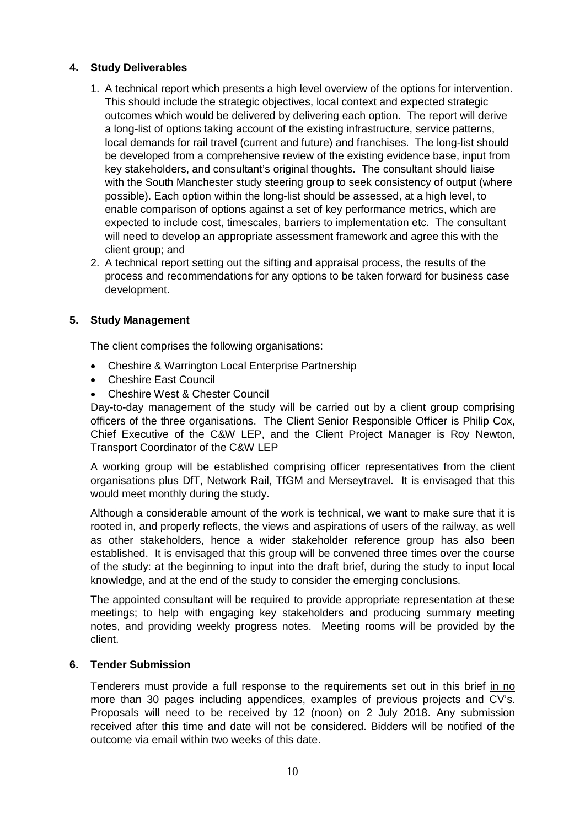# **4. Study Deliverables**

- 1. A technical report which presents a high level overview of the options for intervention. This should include the strategic objectives, local context and expected strategic outcomes which would be delivered by delivering each option. The report will derive a long-list of options taking account of the existing infrastructure, service patterns, local demands for rail travel (current and future) and franchises. The long-list should be developed from a comprehensive review of the existing evidence base, input from key stakeholders, and consultant's original thoughts. The consultant should liaise with the South Manchester study steering group to seek consistency of output (where possible). Each option within the long-list should be assessed, at a high level, to enable comparison of options against a set of key performance metrics, which are expected to include cost, timescales, barriers to implementation etc. The consultant will need to develop an appropriate assessment framework and agree this with the client group; and
- 2. A technical report setting out the sifting and appraisal process, the results of the process and recommendations for any options to be taken forward for business case development.

# **5. Study Management**

The client comprises the following organisations:

- Cheshire & Warrington Local Enterprise Partnership
- · Cheshire East Council
- · Cheshire West & Chester Council

Day-to-day management of the study will be carried out by a client group comprising officers of the three organisations. The Client Senior Responsible Officer is Philip Cox, Chief Executive of the C&W LEP, and the Client Project Manager is Roy Newton, Transport Coordinator of the C&W LEP

A working group will be established comprising officer representatives from the client organisations plus DfT, Network Rail, TfGM and Merseytravel. It is envisaged that this would meet monthly during the study.

Although a considerable amount of the work is technical, we want to make sure that it is rooted in, and properly reflects, the views and aspirations of users of the railway, as well as other stakeholders, hence a wider stakeholder reference group has also been established. It is envisaged that this group will be convened three times over the course of the study: at the beginning to input into the draft brief, during the study to input local knowledge, and at the end of the study to consider the emerging conclusions.

The appointed consultant will be required to provide appropriate representation at these meetings; to help with engaging key stakeholders and producing summary meeting notes, and providing weekly progress notes. Meeting rooms will be provided by the client.

# **6. Tender Submission**

Tenderers must provide a full response to the requirements set out in this brief in no more than 30 pages including appendices, examples of previous projects and CV's. Proposals will need to be received by 12 (noon) on 2 July 2018. Any submission received after this time and date will not be considered. Bidders will be notified of the outcome via email within two weeks of this date.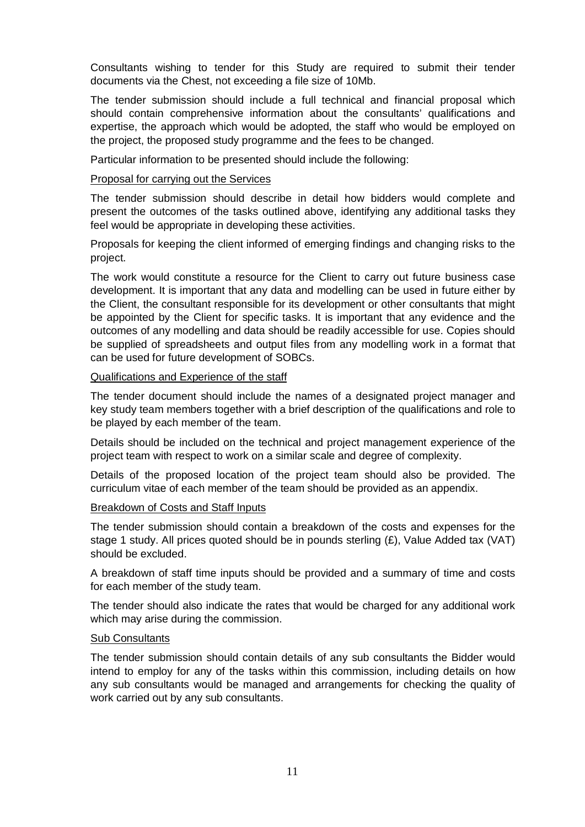Consultants wishing to tender for this Study are required to submit their tender documents via the Chest, not exceeding a file size of 10Mb.

The tender submission should include a full technical and financial proposal which should contain comprehensive information about the consultants' qualifications and expertise, the approach which would be adopted, the staff who would be employed on the project, the proposed study programme and the fees to be changed.

Particular information to be presented should include the following:

#### Proposal for carrying out the Services

The tender submission should describe in detail how bidders would complete and present the outcomes of the tasks outlined above, identifying any additional tasks they feel would be appropriate in developing these activities.

Proposals for keeping the client informed of emerging findings and changing risks to the project.

The work would constitute a resource for the Client to carry out future business case development. It is important that any data and modelling can be used in future either by the Client, the consultant responsible for its development or other consultants that might be appointed by the Client for specific tasks. It is important that any evidence and the outcomes of any modelling and data should be readily accessible for use. Copies should be supplied of spreadsheets and output files from any modelling work in a format that can be used for future development of SOBCs.

#### Qualifications and Experience of the staff

The tender document should include the names of a designated project manager and key study team members together with a brief description of the qualifications and role to be played by each member of the team.

Details should be included on the technical and project management experience of the project team with respect to work on a similar scale and degree of complexity.

Details of the proposed location of the project team should also be provided. The curriculum vitae of each member of the team should be provided as an appendix.

#### Breakdown of Costs and Staff Inputs

The tender submission should contain a breakdown of the costs and expenses for the stage 1 study. All prices quoted should be in pounds sterling  $(E)$ , Value Added tax (VAT) should be excluded.

A breakdown of staff time inputs should be provided and a summary of time and costs for each member of the study team.

The tender should also indicate the rates that would be charged for any additional work which may arise during the commission.

#### Sub Consultants

The tender submission should contain details of any sub consultants the Bidder would intend to employ for any of the tasks within this commission, including details on how any sub consultants would be managed and arrangements for checking the quality of work carried out by any sub consultants.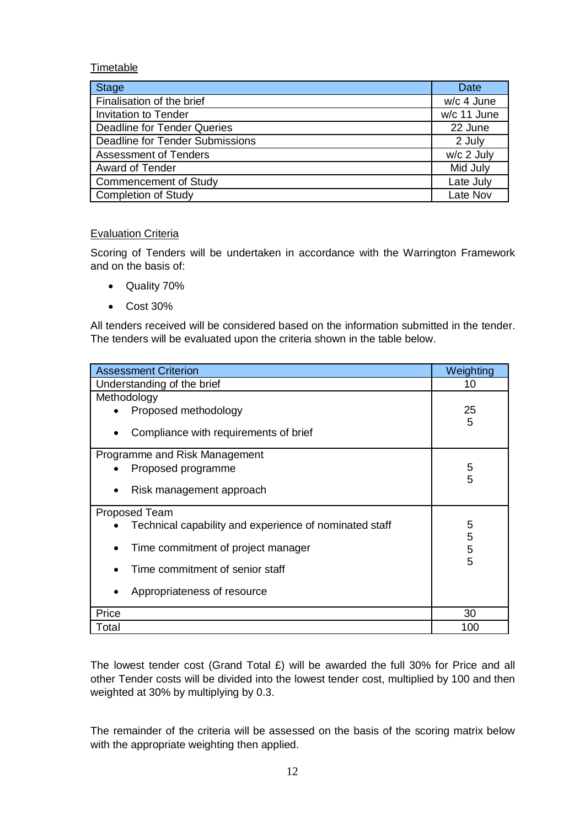# Timetable

| <b>Stage</b>                    | <b>Date</b>  |
|---------------------------------|--------------|
| Finalisation of the brief       | w/c 4 June   |
| <b>Invitation to Tender</b>     | w/c 11 June  |
| Deadline for Tender Queries     | 22 June      |
| Deadline for Tender Submissions | 2 July       |
| <b>Assessment of Tenders</b>    | $w/c$ 2 July |
| <b>Award of Tender</b>          | Mid July     |
| <b>Commencement of Study</b>    | Late July    |
| <b>Completion of Study</b>      | Late Nov     |

# Evaluation Criteria

Scoring of Tenders will be undertaken in accordance with the Warrington Framework and on the basis of:

- · Quality 70%
- · Cost 30%

All tenders received will be considered based on the information submitted in the tender. The tenders will be evaluated upon the criteria shown in the table below.

| <b>Assessment Criterion</b>                            | Weighting   |
|--------------------------------------------------------|-------------|
| Understanding of the brief                             | 10          |
| Methodology                                            |             |
| Proposed methodology                                   | 25          |
| Compliance with requirements of brief<br>$\bullet$     | 5           |
| Programme and Risk Management                          |             |
| Proposed programme                                     | 5           |
| Risk management approach<br>$\bullet$                  | 5           |
| Proposed Team                                          |             |
| Technical capability and experience of nominated staff | 5           |
| Time commitment of project manager                     | 5<br>5<br>5 |
| Time commitment of senior staff                        |             |
| Appropriateness of resource<br>$\bullet$               |             |
| Price                                                  | 30          |
| Total                                                  | 100         |

The lowest tender cost (Grand Total £) will be awarded the full 30% for Price and all other Tender costs will be divided into the lowest tender cost, multiplied by 100 and then weighted at 30% by multiplying by 0.3.

The remainder of the criteria will be assessed on the basis of the scoring matrix below with the appropriate weighting then applied.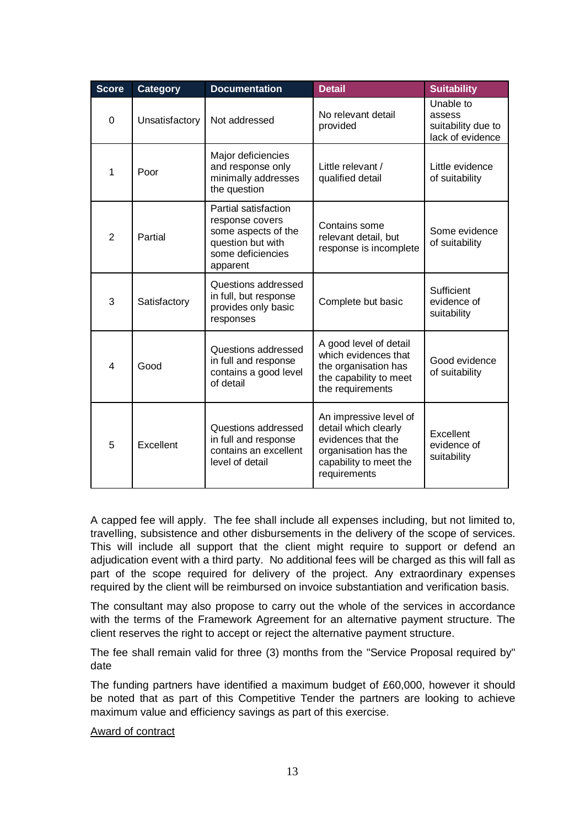| <b>Score</b>   | <b>Category</b> | <b>Documentation</b>                                                                                                 | <b>Detail</b>                                                                                                                          | <b>Suitability</b>                                            |
|----------------|-----------------|----------------------------------------------------------------------------------------------------------------------|----------------------------------------------------------------------------------------------------------------------------------------|---------------------------------------------------------------|
| $\Omega$       | Unsatisfactory  | Not addressed                                                                                                        | No relevant detail<br>provided                                                                                                         | Unable to<br>assess<br>suitability due to<br>lack of evidence |
| 1              | Poor            | Major deficiencies<br>and response only<br>minimally addresses<br>the question                                       | Little relevant /<br>qualified detail                                                                                                  | Little evidence<br>of suitability                             |
| $\overline{2}$ | Partial         | Partial satisfaction<br>response covers<br>some aspects of the<br>question but with<br>some deficiencies<br>apparent | Contains some<br>relevant detail, but<br>response is incomplete                                                                        | Some evidence<br>of suitability                               |
| 3              | Satisfactory    | Questions addressed<br>in full, but response<br>provides only basic<br>responses                                     | Complete but basic                                                                                                                     | Sufficient<br>evidence of<br>suitability                      |
| 4              | Good            | Questions addressed<br>in full and response<br>contains a good level<br>of detail                                    | A good level of detail<br>which evidences that<br>the organisation has<br>the capability to meet<br>the requirements                   | Good evidence<br>of suitability                               |
| 5              | Excellent       | Questions addressed<br>in full and response<br>contains an excellent<br>level of detail                              | An impressive level of<br>detail which clearly<br>evidences that the<br>organisation has the<br>capability to meet the<br>requirements | Excellent<br>evidence of<br>suitability                       |

A capped fee will apply. The fee shall include all expenses including, but not limited to, travelling, subsistence and other disbursements in the delivery of the scope of services. This will include all support that the client might require to support or defend an adjudication event with a third party. No additional fees will be charged as this will fall as part of the scope required for delivery of the project. Any extraordinary expenses required by the client will be reimbursed on invoice substantiation and verification basis.

The consultant may also propose to carry out the whole of the services in accordance with the terms of the Framework Agreement for an alternative payment structure. The client reserves the right to accept or reject the alternative payment structure.

The fee shall remain valid for three (3) months from the "Service Proposal required by" date

The funding partners have identified a maximum budget of £60,000, however it should be noted that as part of this Competitive Tender the partners are looking to achieve maximum value and efficiency savings as part of this exercise.

# Award of contract